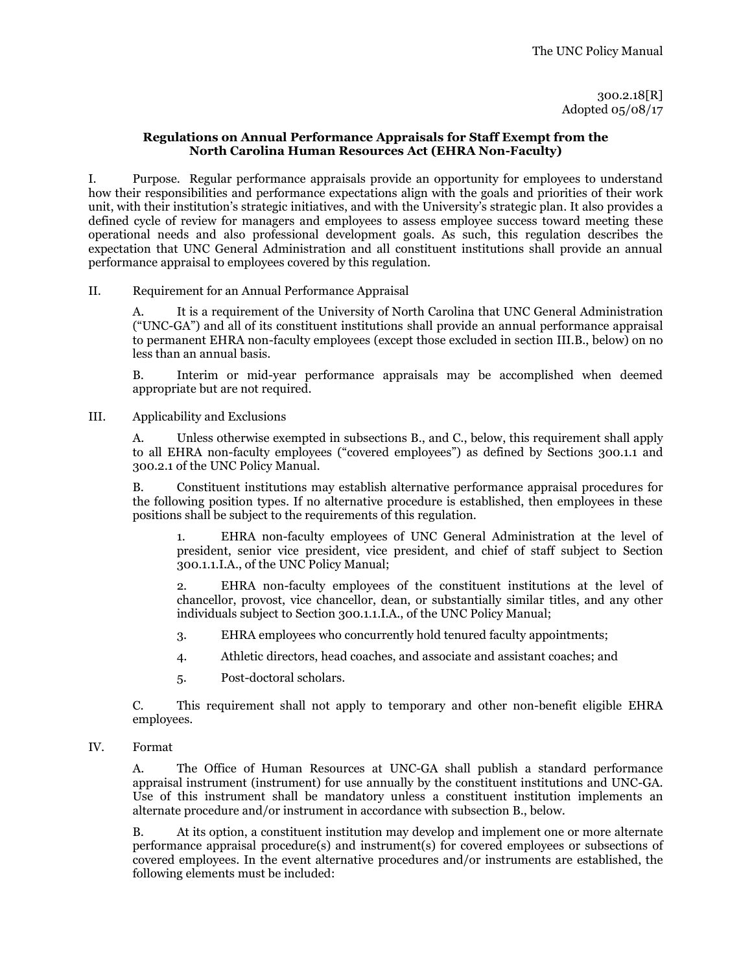### **Regulations on Annual Performance Appraisals for Staff Exempt from the North Carolina Human Resources Act (EHRA Non-Faculty)**

I. Purpose. Regular performance appraisals provide an opportunity for employees to understand how their responsibilities and performance expectations align with the goals and priorities of their work unit, with their institution's strategic initiatives, and with the University's strategic plan. It also provides a defined cycle of review for managers and employees to assess employee success toward meeting these operational needs and also professional development goals. As such, this regulation describes the expectation that UNC General Administration and all constituent institutions shall provide an annual performance appraisal to employees covered by this regulation.

II. Requirement for an Annual Performance Appraisal

A. It is a requirement of the University of North Carolina that UNC General Administration ("UNC-GA") and all of its constituent institutions shall provide an annual performance appraisal to permanent EHRA non-faculty employees (except those excluded in section III.B., below) on no less than an annual basis.

B. Interim or mid-year performance appraisals may be accomplished when deemed appropriate but are not required.

III. Applicability and Exclusions

A. Unless otherwise exempted in subsections B., and C., below, this requirement shall apply to all EHRA non-faculty employees ("covered employees") as defined by Sections 300.1.1 and 300.2.1 of the UNC Policy Manual.

B. Constituent institutions may establish alternative performance appraisal procedures for the following position types. If no alternative procedure is established, then employees in these positions shall be subject to the requirements of this regulation.

EHRA non-faculty employees of UNC General Administration at the level of president, senior vice president, vice president, and chief of staff subject to Section 300.1.1.I.A., of the UNC Policy Manual;

2. EHRA non-faculty employees of the constituent institutions at the level of chancellor, provost, vice chancellor, dean, or substantially similar titles, and any other individuals subject to Section 300.1.1.I.A., of the UNC Policy Manual;

3. EHRA employees who concurrently hold tenured faculty appointments;

4. Athletic directors, head coaches, and associate and assistant coaches; and

5. Post-doctoral scholars.

C. This requirement shall not apply to temporary and other non-benefit eligible EHRA employees.

## IV. Format

A. The Office of Human Resources at UNC-GA shall publish a standard performance appraisal instrument (instrument) for use annually by the constituent institutions and UNC-GA. Use of this instrument shall be mandatory unless a constituent institution implements an alternate procedure and/or instrument in accordance with subsection B., below.

B. At its option, a constituent institution may develop and implement one or more alternate performance appraisal procedure(s) and instrument(s) for covered employees or subsections of covered employees. In the event alternative procedures and/or instruments are established, the following elements must be included: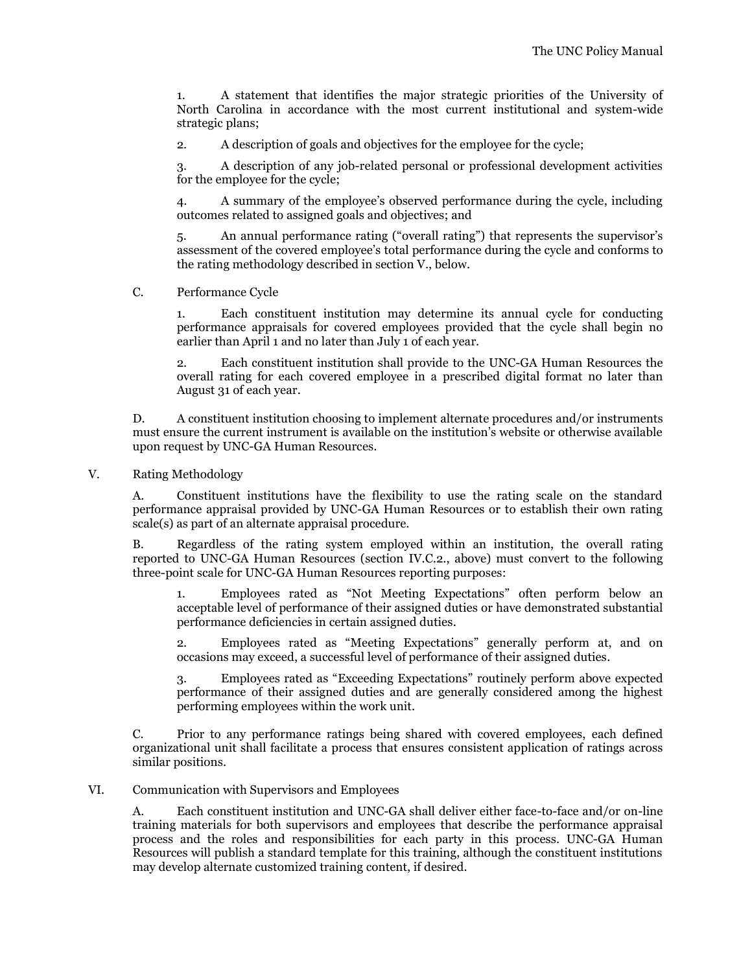1. A statement that identifies the major strategic priorities of the University of North Carolina in accordance with the most current institutional and system-wide strategic plans;

2. A description of goals and objectives for the employee for the cycle;

3. A description of any job-related personal or professional development activities for the employee for the cycle;

4. A summary of the employee's observed performance during the cycle, including outcomes related to assigned goals and objectives; and

5. An annual performance rating ("overall rating") that represents the supervisor's assessment of the covered employee's total performance during the cycle and conforms to the rating methodology described in section V., below.

# C. Performance Cycle

1. Each constituent institution may determine its annual cycle for conducting performance appraisals for covered employees provided that the cycle shall begin no earlier than April 1 and no later than July 1 of each year.

2. Each constituent institution shall provide to the UNC-GA Human Resources the overall rating for each covered employee in a prescribed digital format no later than August 31 of each year.

D. A constituent institution choosing to implement alternate procedures and/or instruments must ensure the current instrument is available on the institution's website or otherwise available upon request by UNC-GA Human Resources.

#### V. Rating Methodology

A. Constituent institutions have the flexibility to use the rating scale on the standard performance appraisal provided by UNC-GA Human Resources or to establish their own rating scale(s) as part of an alternate appraisal procedure.

B. Regardless of the rating system employed within an institution, the overall rating reported to UNC-GA Human Resources (section IV.C.2., above) must convert to the following three-point scale for UNC-GA Human Resources reporting purposes:

1. Employees rated as "Not Meeting Expectations" often perform below an acceptable level of performance of their assigned duties or have demonstrated substantial performance deficiencies in certain assigned duties.

2. Employees rated as "Meeting Expectations" generally perform at, and on occasions may exceed, a successful level of performance of their assigned duties.

3. Employees rated as "Exceeding Expectations" routinely perform above expected performance of their assigned duties and are generally considered among the highest performing employees within the work unit.

C. Prior to any performance ratings being shared with covered employees, each defined organizational unit shall facilitate a process that ensures consistent application of ratings across similar positions.

## VI. Communication with Supervisors and Employees

A. Each constituent institution and UNC-GA shall deliver either face-to-face and/or on-line training materials for both supervisors and employees that describe the performance appraisal process and the roles and responsibilities for each party in this process. UNC-GA Human Resources will publish a standard template for this training, although the constituent institutions may develop alternate customized training content, if desired.